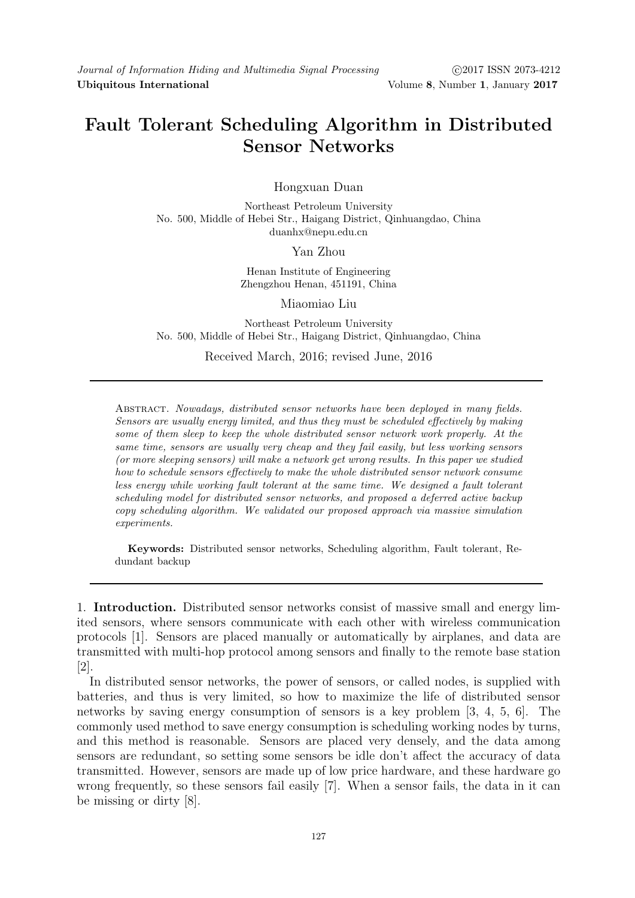## Fault Tolerant Scheduling Algorithm in Distributed Sensor Networks

Hongxuan Duan

Northeast Petroleum University No. 500, Middle of Hebei Str., Haigang District, Qinhuangdao, China duanhx@nepu.edu.cn

Yan Zhou

Henan Institute of Engineering Zhengzhou Henan, 451191, China

Miaomiao Liu

Northeast Petroleum University No. 500, Middle of Hebei Str., Haigang District, Qinhuangdao, China

Received March, 2016; revised June, 2016

Abstract. Nowadays, distributed sensor networks have been deployed in many fields. Sensors are usually energy limited, and thus they must be scheduled effectively by making some of them sleep to keep the whole distributed sensor network work properly. At the same time, sensors are usually very cheap and they fail easily, but less working sensors (or more sleeping sensors) will make a network get wrong results. In this paper we studied how to schedule sensors effectively to make the whole distributed sensor network consume less energy while working fault tolerant at the same time. We designed a fault tolerant scheduling model for distributed sensor networks, and proposed a deferred active backup copy scheduling algorithm. We validated our proposed approach via massive simulation experiments.

Keywords: Distributed sensor networks, Scheduling algorithm, Fault tolerant, Redundant backup

1. Introduction. Distributed sensor networks consist of massive small and energy limited sensors, where sensors communicate with each other with wireless communication protocols [1]. Sensors are placed manually or automatically by airplanes, and data are transmitted with multi-hop protocol among sensors and finally to the remote base station [2].

In distributed sensor networks, the power of sensors, or called nodes, is supplied with batteries, and thus is very limited, so how to maximize the life of distributed sensor networks by saving energy consumption of sensors is a key problem [3, 4, 5, 6]. The commonly used method to save energy consumption is scheduling working nodes by turns, and this method is reasonable. Sensors are placed very densely, and the data among sensors are redundant, so setting some sensors be idle don't affect the accuracy of data transmitted. However, sensors are made up of low price hardware, and these hardware go wrong frequently, so these sensors fail easily [7]. When a sensor fails, the data in it can be missing or dirty [8].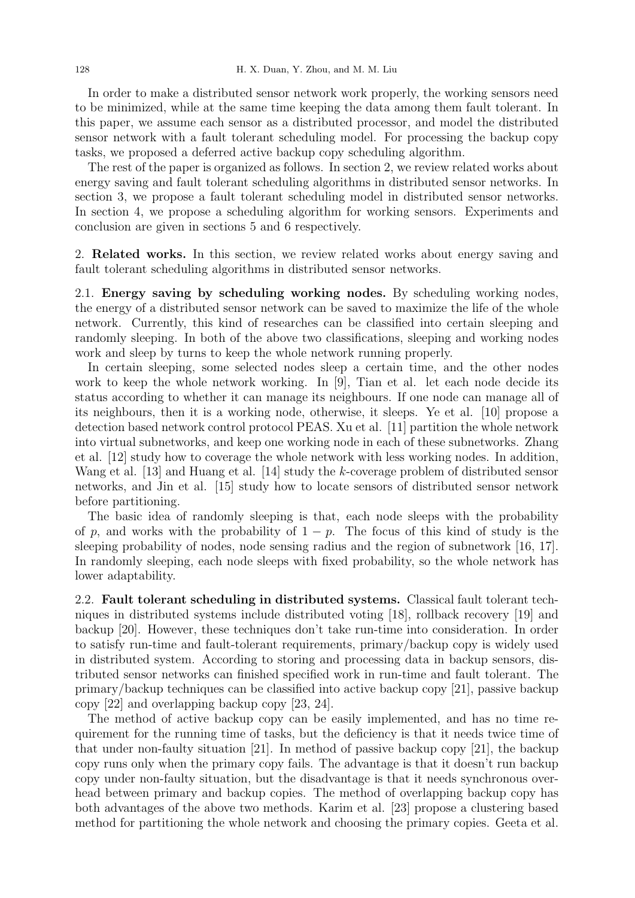In order to make a distributed sensor network work properly, the working sensors need to be minimized, while at the same time keeping the data among them fault tolerant. In this paper, we assume each sensor as a distributed processor, and model the distributed sensor network with a fault tolerant scheduling model. For processing the backup copy tasks, we proposed a deferred active backup copy scheduling algorithm.

The rest of the paper is organized as follows. In section 2, we review related works about energy saving and fault tolerant scheduling algorithms in distributed sensor networks. In section 3, we propose a fault tolerant scheduling model in distributed sensor networks. In section 4, we propose a scheduling algorithm for working sensors. Experiments and conclusion are given in sections 5 and 6 respectively.

2. Related works. In this section, we review related works about energy saving and fault tolerant scheduling algorithms in distributed sensor networks.

2.1. Energy saving by scheduling working nodes. By scheduling working nodes, the energy of a distributed sensor network can be saved to maximize the life of the whole network. Currently, this kind of researches can be classified into certain sleeping and randomly sleeping. In both of the above two classifications, sleeping and working nodes work and sleep by turns to keep the whole network running properly.

In certain sleeping, some selected nodes sleep a certain time, and the other nodes work to keep the whole network working. In [9], Tian et al. let each node decide its status according to whether it can manage its neighbours. If one node can manage all of its neighbours, then it is a working node, otherwise, it sleeps. Ye et al. [10] propose a detection based network control protocol PEAS. Xu et al. [11] partition the whole network into virtual subnetworks, and keep one working node in each of these subnetworks. Zhang et al. [12] study how to coverage the whole network with less working nodes. In addition, Wang et al. [13] and Huang et al. [14] study the k-coverage problem of distributed sensor networks, and Jin et al. [15] study how to locate sensors of distributed sensor network before partitioning.

The basic idea of randomly sleeping is that, each node sleeps with the probability of p, and works with the probability of  $1 - p$ . The focus of this kind of study is the sleeping probability of nodes, node sensing radius and the region of subnetwork [16, 17]. In randomly sleeping, each node sleeps with fixed probability, so the whole network has lower adaptability.

2.2. Fault tolerant scheduling in distributed systems. Classical fault tolerant techniques in distributed systems include distributed voting [18], rollback recovery [19] and backup [20]. However, these techniques don't take run-time into consideration. In order to satisfy run-time and fault-tolerant requirements, primary/backup copy is widely used in distributed system. According to storing and processing data in backup sensors, distributed sensor networks can finished specified work in run-time and fault tolerant. The primary/backup techniques can be classified into active backup copy [21], passive backup copy [22] and overlapping backup copy [23, 24].

The method of active backup copy can be easily implemented, and has no time requirement for the running time of tasks, but the deficiency is that it needs twice time of that under non-faulty situation [21]. In method of passive backup copy [21], the backup copy runs only when the primary copy fails. The advantage is that it doesn't run backup copy under non-faulty situation, but the disadvantage is that it needs synchronous overhead between primary and backup copies. The method of overlapping backup copy has both advantages of the above two methods. Karim et al. [23] propose a clustering based method for partitioning the whole network and choosing the primary copies. Geeta et al.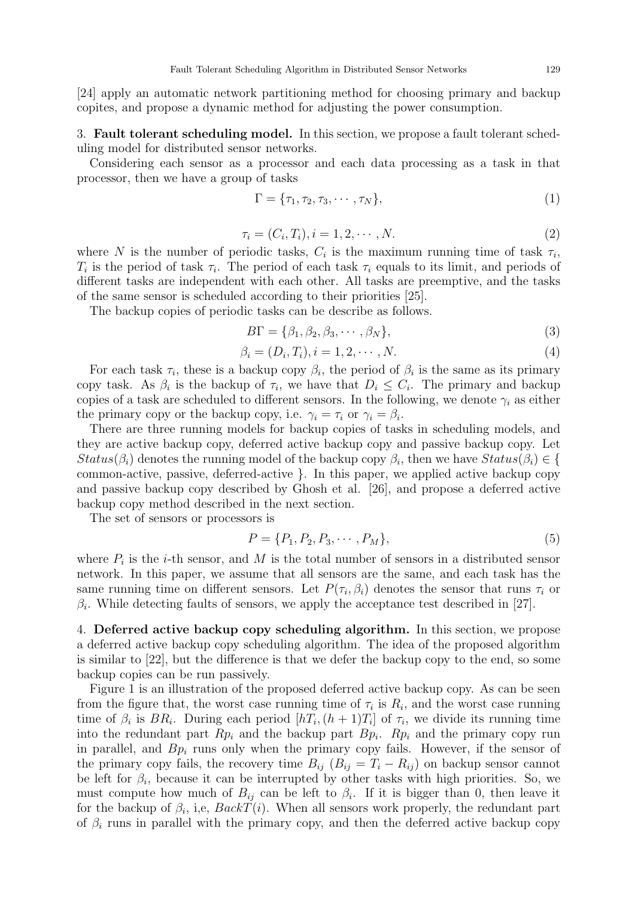[24] apply an automatic network partitioning method for choosing primary and backup copites, and propose a dynamic method for adjusting the power consumption.

3. Fault tolerant scheduling model. In this section, we propose a fault tolerant scheduling model for distributed sensor networks.

Considering each sensor as a processor and each data processing as a task in that processor, then we have a group of tasks

$$
\Gamma = \{\tau_1, \tau_2, \tau_3, \cdots, \tau_N\},\tag{1}
$$

$$
\tau_i = (C_i, T_i), i = 1, 2, \cdots, N.
$$
\n(2)

where N is the number of periodic tasks,  $C_i$  is the maximum running time of task  $\tau_i$ ,  $T_i$  is the period of task  $\tau_i$ . The period of each task  $\tau_i$  equals to its limit, and periods of different tasks are independent with each other. All tasks are preemptive, and the tasks of the same sensor is scheduled according to their priorities [25].

The backup copies of periodic tasks can be describe as follows.

$$
B\Gamma = \{\beta_1, \beta_2, \beta_3, \cdots, \beta_N\},\tag{3}
$$

$$
\beta_i = (D_i, T_i), i = 1, 2, \cdots, N.
$$
\n(4)

For each task  $\tau_i$ , these is a backup copy  $\beta_i$ , the period of  $\beta_i$  is the same as its primary copy task. As  $\beta_i$  is the backup of  $\tau_i$ , we have that  $D_i \leq C_i$ . The primary and backup copies of a task are scheduled to different sensors. In the following, we denote  $\gamma_i$  as either the primary copy or the backup copy, i.e.  $\gamma_i = \tau_i$  or  $\gamma_i = \beta_i$ .

There are three running models for backup copies of tasks in scheduling models, and they are active backup copy, deferred active backup copy and passive backup copy. Let  $Status(\beta_i)$  denotes the running model of the backup copy  $\beta_i$ , then we have  $Status(\beta_i) \in \{$ common-active, passive, deferred-active }. In this paper, we applied active backup copy and passive backup copy described by Ghosh et al. [26], and propose a deferred active backup copy method described in the next section.

The set of sensors or processors is

$$
P = \{P_1, P_2, P_3, \cdots, P_M\},\tag{5}
$$

where  $P_i$  is the *i*-th sensor, and M is the total number of sensors in a distributed sensor network. In this paper, we assume that all sensors are the same, and each task has the same running time on different sensors. Let  $P(\tau_i, \beta_i)$  denotes the sensor that runs  $\tau_i$  or  $\beta_i$ . While detecting faults of sensors, we apply the acceptance test described in [27].

4. Deferred active backup copy scheduling algorithm. In this section, we propose a deferred active backup copy scheduling algorithm. The idea of the proposed algorithm is similar to [22], but the difference is that we defer the backup copy to the end, so some backup copies can be run passively.

Figure 1 is an illustration of the proposed deferred active backup copy. As can be seen from the figure that, the worst case running time of  $\tau_i$  is  $R_i$ , and the worst case running time of  $\beta_i$  is  $BR_i$ . During each period  $[hT_i, (h+1)T_i]$  of  $\tau_i$ , we divide its running time into the redundant part  $Rp_i$  and the backup part  $Bp_i$ .  $Rp_i$  and the primary copy run in parallel, and  $Bp_i$  runs only when the primary copy fails. However, if the sensor of the primary copy fails, the recovery time  $B_{ij}$  ( $B_{ij} = T_i - R_{ij}$ ) on backup sensor cannot be left for  $\beta_i$ , because it can be interrupted by other tasks with high priorities. So, we must compute how much of  $B_{ij}$  can be left to  $\beta_i$ . If it is bigger than 0, then leave it for the backup of  $\beta_i$ , i,e,  $BackT(i)$ . When all sensors work properly, the redundant part of  $\beta_i$  runs in parallel with the primary copy, and then the deferred active backup copy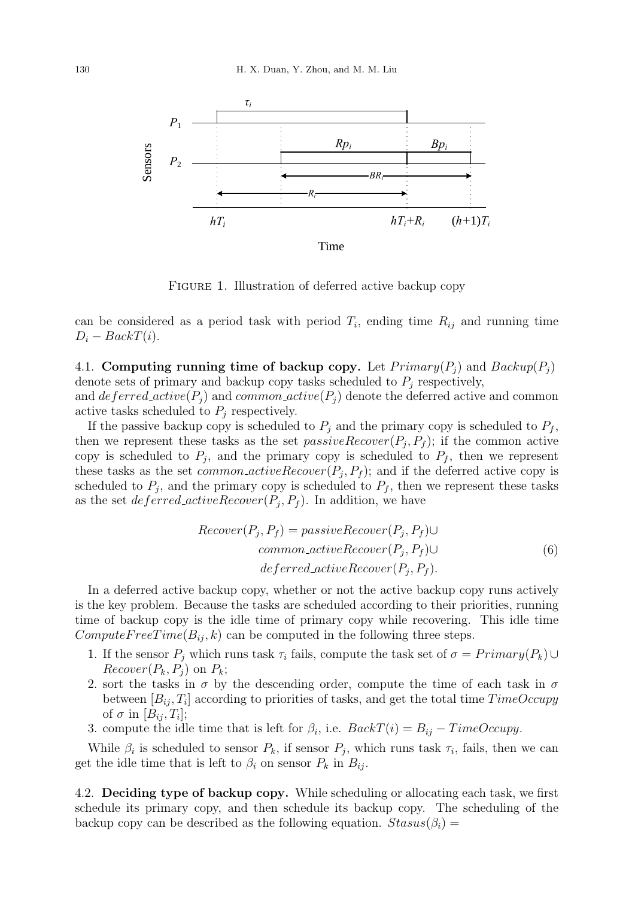

FIGURE 1. Illustration of deferred active backup copy

can be considered as a period task with period  $T_i$ , ending time  $R_{ij}$  and running time  $D_i - BackT(i).$ 

4.1. Computing running time of backup copy. Let  $Primary(P_i)$  and  $Backup(P_i)$ denote sets of primary and backup copy tasks scheduled to  $P_j$  respectively, and  $deferred\_active(P_j)$  and  $common\_active(P_j)$  denote the deferred active and common active tasks scheduled to  $P_j$  respectively.

If the passive backup copy is scheduled to  $P_i$  and the primary copy is scheduled to  $P_f$ , then we represent these tasks as the set  $passiveRecover(P_j, P_f)$ ; if the common active copy is scheduled to  $P_j$ , and the primary copy is scheduled to  $P_f$ , then we represent these tasks as the set *common-activeRecover* $(P_j, P_f)$ ; and if the deferred active copy is scheduled to  $P_j$ , and the primary copy is scheduled to  $P_f$ , then we represent these tasks as the set *deferred\_activeRecover* $(P_j, P_f)$ . In addition, we have

$$
Recover(P_j, P_f) = passiveRecover(P_j, P_f) \cup
$$
  
common\_activeRecover(P\_j, P\_f) \cup  
*defined\_activeRecover(P\_j, P\_f).* (6)

In a deferred active backup copy, whether or not the active backup copy runs actively is the key problem. Because the tasks are scheduled according to their priorities, running time of backup copy is the idle time of primary copy while recovering. This idle time  $ComputeFreeTime(B_{ii}, k)$  can be computed in the following three steps.

- 1. If the sensor  $P_j$  which runs task  $\tau_i$  fails, compute the task set of  $\sigma = Primary(P_k) \cup$  $Recover(P_k, P_i)$  on  $P_k$ ;
- 2. sort the tasks in  $\sigma$  by the descending order, compute the time of each task in  $\sigma$ between  $[B_{ij}, T_i]$  according to priorities of tasks, and get the total time  $TimeOccupy$ of  $\sigma$  in  $[B_{ij}, T_i];$
- 3. compute the idle time that is left for  $\beta_i$ , i.e.  $BackT(i) = B_{ij} TimeOccupy$ .

While  $\beta_i$  is scheduled to sensor  $P_k$ , if sensor  $P_j$ , which runs task  $\tau_i$ , fails, then we can get the idle time that is left to  $\beta_i$  on sensor  $P_k$  in  $B_{ij}$ .

4.2. Deciding type of backup copy. While scheduling or allocating each task, we first schedule its primary copy, and then schedule its backup copy. The scheduling of the backup copy can be described as the following equation.  $Stasus(\beta_i)$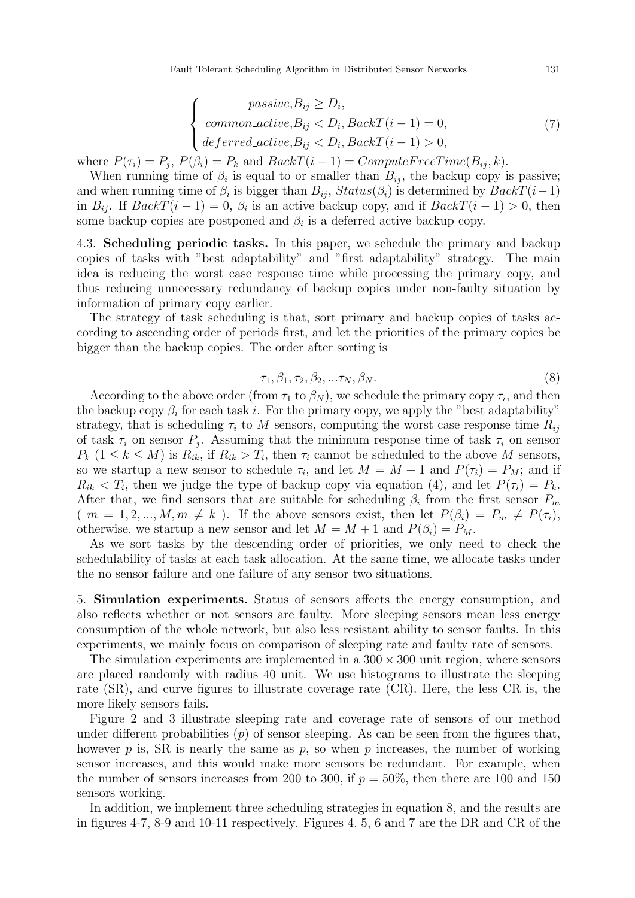$$
\begin{cases}\n \text{passive}, B_{ij} \ge D_i, \\
\text{common}_active, B_{ij} < D_i, BackT(i-1) = 0, \\
\text{deferred}_active, B_{ij} < D_i, BackT(i-1) > 0,\n\end{cases} \tag{7}
$$

where  $P(\tau_i) = P_j$ ,  $P(\beta_i) = P_k$  and  $BackT(i-1) = ComputeFreeTime(B_{ij}, k)$ .

When running time of  $\beta_i$  is equal to or smaller than  $B_{ij}$ , the backup copy is passive; and when running time of  $\beta_i$  is bigger than  $B_{ij}$ ,  $Status(\beta_i)$  is determined by  $BackT(i-1)$ in  $B_{ij}$ . If  $BackT(i-1) = 0$ ,  $\beta_i$  is an active backup copy, and if  $BackT(i-1) > 0$ , then some backup copies are postponed and  $\beta_i$  is a deferred active backup copy.

4.3. Scheduling periodic tasks. In this paper, we schedule the primary and backup copies of tasks with "best adaptability" and "first adaptability" strategy. The main idea is reducing the worst case response time while processing the primary copy, and thus reducing unnecessary redundancy of backup copies under non-faulty situation by information of primary copy earlier.

The strategy of task scheduling is that, sort primary and backup copies of tasks according to ascending order of periods first, and let the priorities of the primary copies be bigger than the backup copies. The order after sorting is

$$
\tau_1, \beta_1, \tau_2, \beta_2, \ldots \tau_N, \beta_N. \tag{8}
$$

According to the above order (from  $\tau_1$  to  $\beta_N$ ), we schedule the primary copy  $\tau_i$ , and then the backup copy  $\beta_i$  for each task i. For the primary copy, we apply the "best adaptability" strategy, that is scheduling  $\tau_i$  to M sensors, computing the worst case response time  $R_{ij}$ of task  $\tau_i$  on sensor  $P_j$ . Assuming that the minimum response time of task  $\tau_i$  on sensor  $P_k$   $(1 \leq k \leq M)$  is  $R_{ik}$ , if  $R_{ik} > T_i$ , then  $\tau_i$  cannot be scheduled to the above M sensors, so we startup a new sensor to schedule  $\tau_i$ , and let  $M = M + 1$  and  $P(\tau_i) = P_M$ ; and if  $R_{ik} < T_i$ , then we judge the type of backup copy via equation (4), and let  $P(\tau_i) = P_k$ . After that, we find sensors that are suitable for scheduling  $\beta_i$  from the first sensor  $P_m$  $(m = 1, 2, ..., M, m \neq k)$ . If the above sensors exist, then let  $P(\beta_i) = P_m \neq P(\tau_i)$ , otherwise, we startup a new sensor and let  $M = M + 1$  and  $P(\beta_i) = P_M$ .

As we sort tasks by the descending order of priorities, we only need to check the schedulability of tasks at each task allocation. At the same time, we allocate tasks under the no sensor failure and one failure of any sensor two situations.

5. Simulation experiments. Status of sensors affects the energy consumption, and also reflects whether or not sensors are faulty. More sleeping sensors mean less energy consumption of the whole network, but also less resistant ability to sensor faults. In this experiments, we mainly focus on comparison of sleeping rate and faulty rate of sensors.

The simulation experiments are implemented in a  $300 \times 300$  unit region, where sensors are placed randomly with radius 40 unit. We use histograms to illustrate the sleeping rate (SR), and curve figures to illustrate coverage rate (CR). Here, the less CR is, the more likely sensors fails.

Figure 2 and 3 illustrate sleeping rate and coverage rate of sensors of our method under different probabilities  $(p)$  of sensor sleeping. As can be seen from the figures that, however p is, SR is nearly the same as p, so when p increases, the number of working sensor increases, and this would make more sensors be redundant. For example, when the number of sensors increases from 200 to 300, if  $p = 50\%$ , then there are 100 and 150 sensors working.

In addition, we implement three scheduling strategies in equation 8, and the results are in figures 4-7, 8-9 and 10-11 respectively. Figures 4, 5, 6 and 7 are the DR and CR of the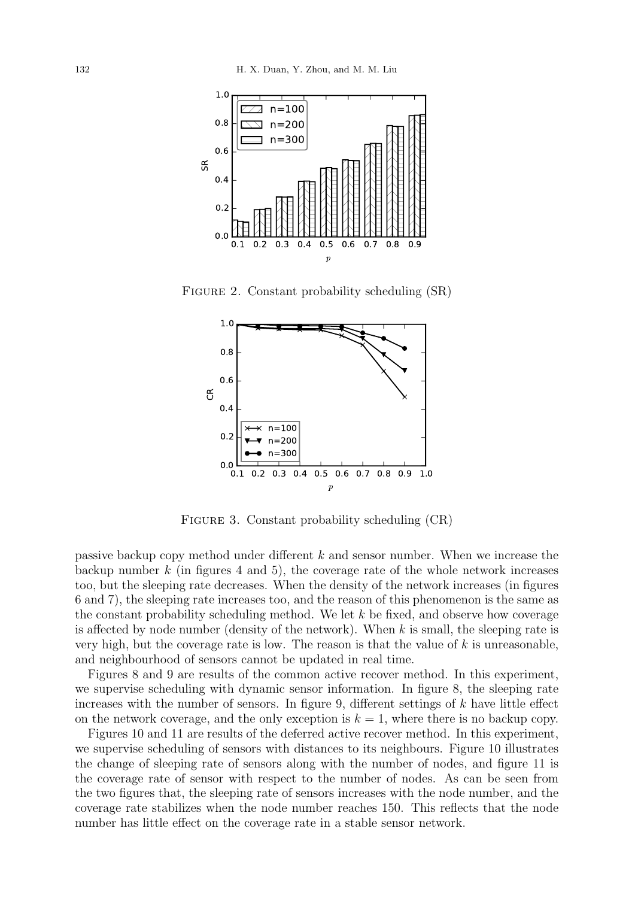

FIGURE 2. Constant probability scheduling  $(SR)$ 



FIGURE 3. Constant probability scheduling  $(CR)$ 

passive backup copy method under different k and sensor number. When we increase the backup number  $k$  (in figures 4 and 5), the coverage rate of the whole network increases too, but the sleeping rate decreases. When the density of the network increases (in figures 6 and 7), the sleeping rate increases too, and the reason of this phenomenon is the same as the constant probability scheduling method. We let  $k$  be fixed, and observe how coverage is affected by node number (density of the network). When  $k$  is small, the sleeping rate is very high, but the coverage rate is low. The reason is that the value of  $k$  is unreasonable, and neighbourhood of sensors cannot be updated in real time.

Figures 8 and 9 are results of the common active recover method. In this experiment, we supervise scheduling with dynamic sensor information. In figure 8, the sleeping rate increases with the number of sensors. In figure 9, different settings of  $k$  have little effect on the network coverage, and the only exception is  $k = 1$ , where there is no backup copy.

Figures 10 and 11 are results of the deferred active recover method. In this experiment, we supervise scheduling of sensors with distances to its neighbours. Figure 10 illustrates the change of sleeping rate of sensors along with the number of nodes, and figure 11 is the coverage rate of sensor with respect to the number of nodes. As can be seen from the two figures that, the sleeping rate of sensors increases with the node number, and the coverage rate stabilizes when the node number reaches 150. This reflects that the node number has little effect on the coverage rate in a stable sensor network.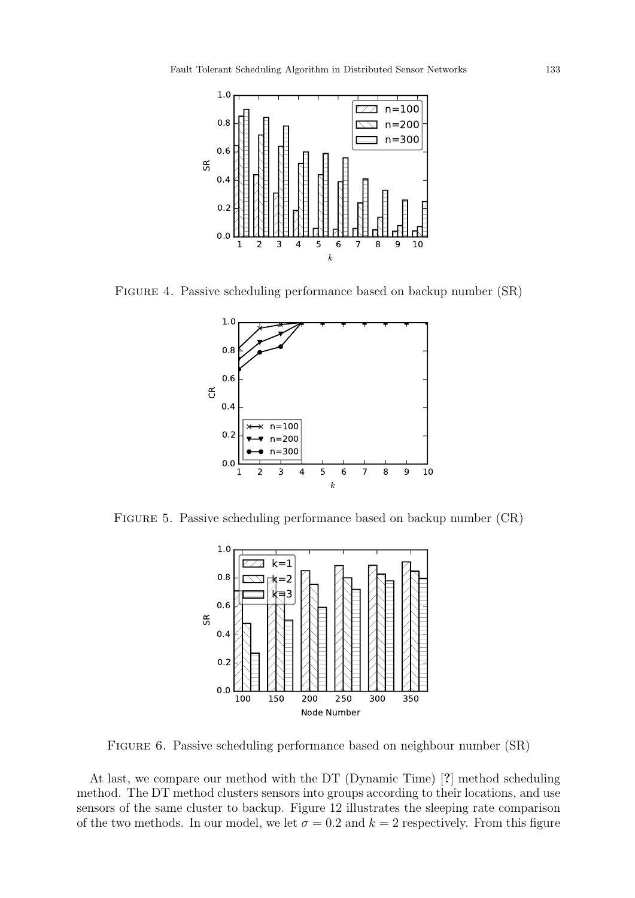

FIGURE 4. Passive scheduling performance based on backup number  $(SR)$ 



FIGURE 5. Passive scheduling performance based on backup number  $(CR)$ 



Figure 6. Passive scheduling performance based on neighbour number (SR)

At last, we compare our method with the DT (Dynamic Time) [?] method scheduling method. The DT method clusters sensors into groups according to their locations, and use sensors of the same cluster to backup. Figure 12 illustrates the sleeping rate comparison of the two methods. In our model, we let  $\sigma = 0.2$  and  $k = 2$  respectively. From this figure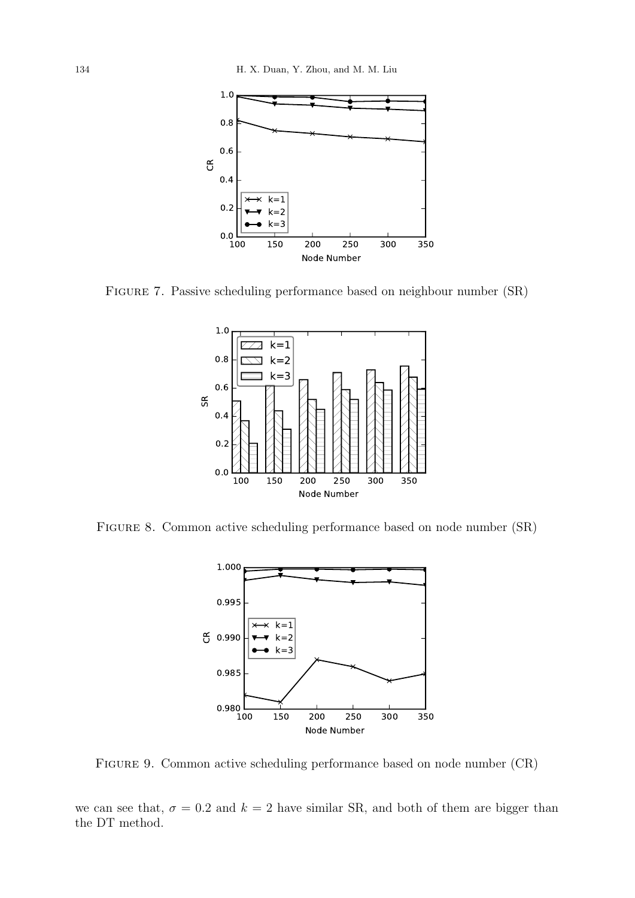

Figure 7. Passive scheduling performance based on neighbour number (SR)



Figure 8. Common active scheduling performance based on node number (SR)



Figure 9. Common active scheduling performance based on node number (CR)

we can see that,  $\sigma = 0.2$  and  $k = 2$  have similar SR, and both of them are bigger than the DT method.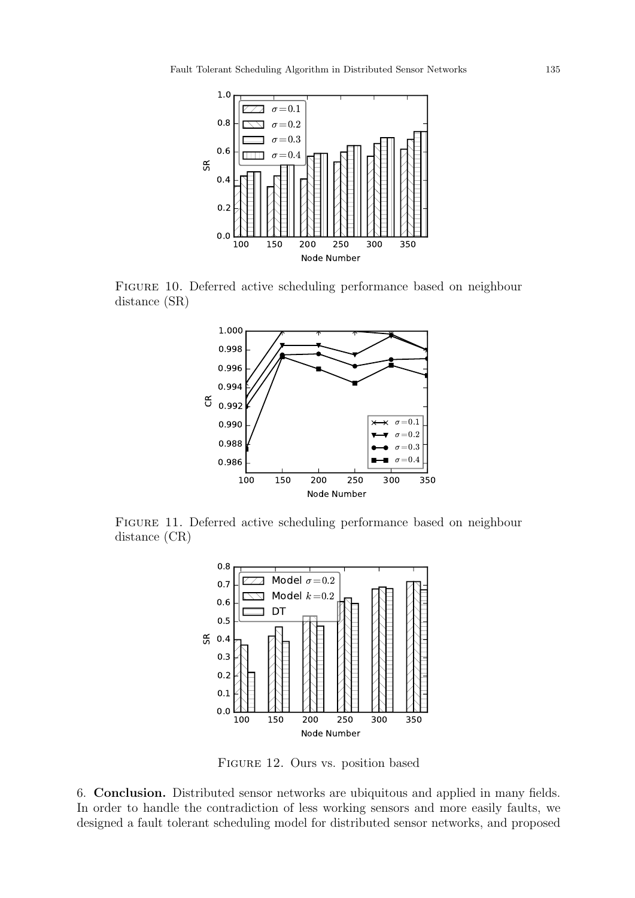

Figure 10. Deferred active scheduling performance based on neighbour distance (SR)



Figure 11. Deferred active scheduling performance based on neighbour distance (CR)



Figure 12. Ours vs. position based

6. Conclusion. Distributed sensor networks are ubiquitous and applied in many fields. In order to handle the contradiction of less working sensors and more easily faults, we designed a fault tolerant scheduling model for distributed sensor networks, and proposed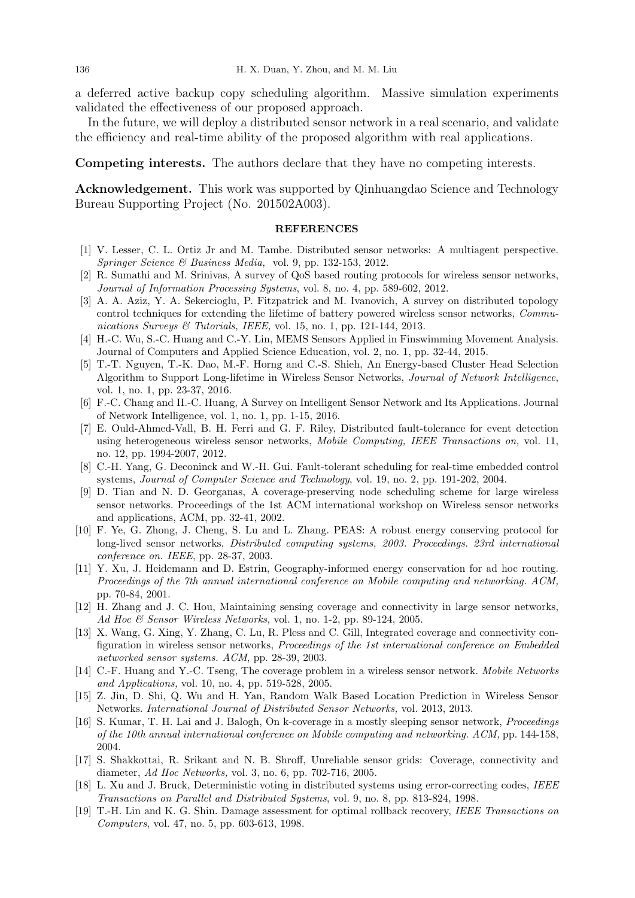a deferred active backup copy scheduling algorithm. Massive simulation experiments validated the effectiveness of our proposed approach.

In the future, we will deploy a distributed sensor network in a real scenario, and validate the efficiency and real-time ability of the proposed algorithm with real applications.

Competing interests. The authors declare that they have no competing interests.

Acknowledgement. This work was supported by Qinhuangdao Science and Technology Bureau Supporting Project (No. 201502A003).

## **REFERENCES**

- [1] V. Lesser, C. L. Ortiz Jr and M. Tambe. Distributed sensor networks: A multiagent perspective. Springer Science & Business Media, vol. 9, pp. 132-153, 2012.
- [2] R. Sumathi and M. Srinivas, A survey of QoS based routing protocols for wireless sensor networks, Journal of Information Processing Systems, vol. 8, no. 4, pp. 589-602, 2012.
- [3] A. A. Aziz, Y. A. Sekercioglu, P. Fitzpatrick and M. Ivanovich, A survey on distributed topology control techniques for extending the lifetime of battery powered wireless sensor networks, Communications Surveys  $\mathcal C$  Tutorials, IEEE, vol. 15, no. 1, pp. 121-144, 2013.
- [4] H.-C. Wu, S.-C. Huang and C.-Y. Lin, MEMS Sensors Applied in Finswimming Movement Analysis. Journal of Computers and Applied Science Education, vol. 2, no. 1, pp. 32-44, 2015.
- [5] T.-T. Nguyen, T.-K. Dao, M.-F. Horng and C.-S. Shieh, An Energy-based Cluster Head Selection Algorithm to Support Long-lifetime in Wireless Sensor Networks, Journal of Network Intelligence, vol. 1, no. 1, pp. 23-37, 2016.
- [6] F.-C. Chang and H.-C. Huang, A Survey on Intelligent Sensor Network and Its Applications. Journal of Network Intelligence, vol. 1, no. 1, pp. 1-15, 2016.
- [7] E. Ould-Ahmed-Vall, B. H. Ferri and G. F. Riley, Distributed fault-tolerance for event detection using heterogeneous wireless sensor networks, Mobile Computing, IEEE Transactions on, vol. 11, no. 12, pp. 1994-2007, 2012.
- [8] C.-H. Yang, G. Deconinck and W.-H. Gui. Fault-tolerant scheduling for real-time embedded control systems, Journal of Computer Science and Technology, vol. 19, no. 2, pp. 191-202, 2004.
- [9] D. Tian and N. D. Georganas, A coverage-preserving node scheduling scheme for large wireless sensor networks. Proceedings of the 1st ACM international workshop on Wireless sensor networks and applications, ACM, pp. 32-41, 2002.
- [10] F. Ye, G. Zhong, J. Cheng, S. Lu and L. Zhang. PEAS: A robust energy conserving protocol for long-lived sensor networks, Distributed computing systems, 2003. Proceedings. 23rd international conference on. IEEE, pp. 28-37, 2003.
- [11] Y. Xu, J. Heidemann and D. Estrin, Geography-informed energy conservation for ad hoc routing. Proceedings of the 7th annual international conference on Mobile computing and networking. ACM, pp. 70-84, 2001.
- [12] H. Zhang and J. C. Hou, Maintaining sensing coverage and connectivity in large sensor networks, Ad Hoc  $\mathcal C$  Sensor Wireless Networks, vol. 1, no. 1-2, pp. 89-124, 2005.
- [13] X. Wang, G. Xing, Y. Zhang, C. Lu, R. Pless and C. Gill, Integrated coverage and connectivity configuration in wireless sensor networks, Proceedings of the 1st international conference on Embedded networked sensor systems. ACM, pp. 28-39, 2003.
- [14] C.-F. Huang and Y.-C. Tseng, The coverage problem in a wireless sensor network. Mobile Networks and Applications, vol. 10, no. 4, pp. 519-528, 2005.
- [15] Z. Jin, D. Shi, Q. Wu and H. Yan, Random Walk Based Location Prediction in Wireless Sensor Networks. International Journal of Distributed Sensor Networks, vol. 2013, 2013.
- [16] S. Kumar, T. H. Lai and J. Balogh, On k-coverage in a mostly sleeping sensor network, Proceedings of the 10th annual international conference on Mobile computing and networking. ACM, pp. 144-158, 2004.
- [17] S. Shakkottai, R. Srikant and N. B. Shroff, Unreliable sensor grids: Coverage, connectivity and diameter, Ad Hoc Networks, vol. 3, no. 6, pp. 702-716, 2005.
- [18] L. Xu and J. Bruck, Deterministic voting in distributed systems using error-correcting codes, IEEE Transactions on Parallel and Distributed Systems, vol. 9, no. 8, pp. 813-824, 1998.
- [19] T.-H. Lin and K. G. Shin. Damage assessment for optimal rollback recovery, IEEE Transactions on Computers, vol. 47, no. 5, pp. 603-613, 1998.